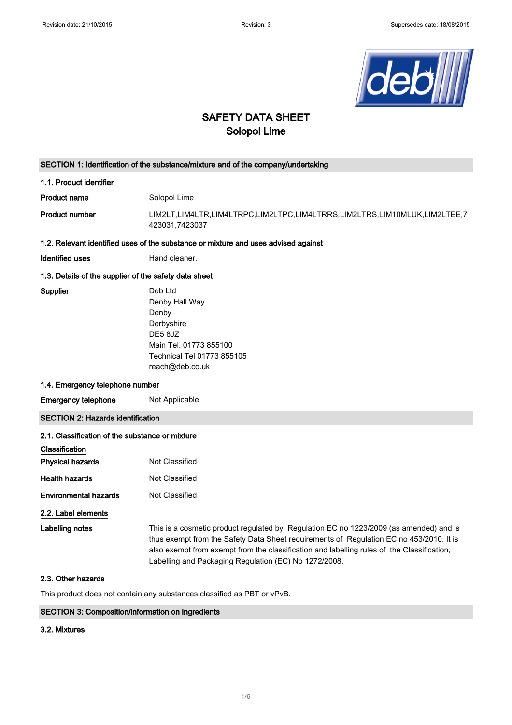

## SAFETY DATA SHEET Solopol Lime

# SECTION 1: Identification of the substance/mixture and of the company/undertaking 1.1. Product identifier Product name Solopol Lime Product number LIM2LT,LIM4LTR,LIM4LTRPC,LIM2LTPC,LIM4LTRRS,LIM2LTRS,LIM10MLUK,LIM2LTEE,7 423031,7423037 1.2. Relevant identified uses of the substance or mixture and uses advised against Identified uses **Hand cleaner**. 1.3. Details of the supplier of the safety data sheet Supplier Deb Ltd Denby Hall Way Denby Derbyshire DE5 8JZ Main Tel. 01773 855100 Technical Tel 01773 855105 reach@deb.co.uk 1.4. Emergency telephone number **Emergency telephone** Not Applicable SECTION 2: Hazards identification 2.1. Classification of the substance or mixture **Classification** Physical hazards Not Classified Health hazards Not Classified **Environmental hazards** Not Classified 2.2. Label elements Labelling notes This is a cosmetic product regulated by Regulation EC no 1223/2009 (as amended) and is thus exempt from the Safety Data Sheet requirements of Regulation EC no 453/2010. It is also exempt from exempt from the classification and labelling rules of the Classification, Labelling and Packaging Regulation (EC) No 1272/2008. 2.3. Other hazards

This product does not contain any substances classified as PBT or vPvB.

### SECTION 3: Composition/information on ingredients

#### 3.2. Mixtures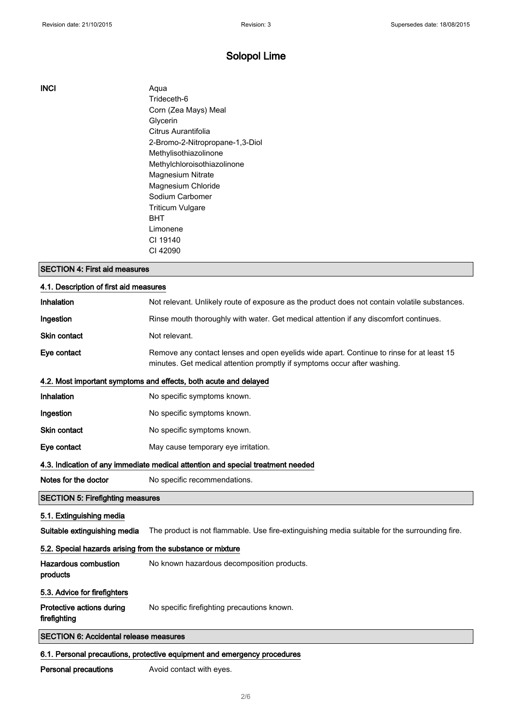INCI Aqua Trideceth-6 Corn (Zea Mays) Meal Glycerin Citrus Aurantifolia 2-Bromo-2-Nitropropane-1,3-Diol Methylisothiazolinone Methylchloroisothiazolinone Magnesium Nitrate Magnesium Chloride Sodium Carbomer Triticum Vulgare BHT Limonene CI 19140 CI 42090

### SECTION 4: First aid measures

| 4.1. Description of first aid measures                     |                                                                                                                                                                      |  |
|------------------------------------------------------------|----------------------------------------------------------------------------------------------------------------------------------------------------------------------|--|
| Inhalation                                                 | Not relevant. Unlikely route of exposure as the product does not contain volatile substances.                                                                        |  |
| Ingestion                                                  | Rinse mouth thoroughly with water. Get medical attention if any discomfort continues.                                                                                |  |
| <b>Skin contact</b>                                        | Not relevant.                                                                                                                                                        |  |
| Eye contact                                                | Remove any contact lenses and open eyelids wide apart. Continue to rinse for at least 15<br>minutes. Get medical attention promptly if symptoms occur after washing. |  |
|                                                            | 4.2. Most important symptoms and effects, both acute and delayed                                                                                                     |  |
| Inhalation                                                 | No specific symptoms known.                                                                                                                                          |  |
| Ingestion                                                  | No specific symptoms known.                                                                                                                                          |  |
| <b>Skin contact</b>                                        | No specific symptoms known.                                                                                                                                          |  |
| Eye contact                                                | May cause temporary eye irritation.                                                                                                                                  |  |
|                                                            | 4.3. Indication of any immediate medical attention and special treatment needed                                                                                      |  |
| Notes for the doctor                                       | No specific recommendations.                                                                                                                                         |  |
| <b>SECTION 5: Firefighting measures</b>                    |                                                                                                                                                                      |  |
| 5.1. Extinguishing media                                   |                                                                                                                                                                      |  |
| Suitable extinguishing media                               | The product is not flammable. Use fire-extinguishing media suitable for the surrounding fire.                                                                        |  |
| 5.2. Special hazards arising from the substance or mixture |                                                                                                                                                                      |  |
| <b>Hazardous combustion</b><br>products                    | No known hazardous decomposition products.                                                                                                                           |  |
| 5.3. Advice for firefighters                               |                                                                                                                                                                      |  |
| Protective actions during<br>firefighting                  | No specific firefighting precautions known.                                                                                                                          |  |
| <b>SECTION 6: Accidental release measures</b>              |                                                                                                                                                                      |  |
|                                                            | 6.1. Personal precautions, protective equipment and emergency procedures                                                                                             |  |

Personal precautions **Avoid contact with eyes.**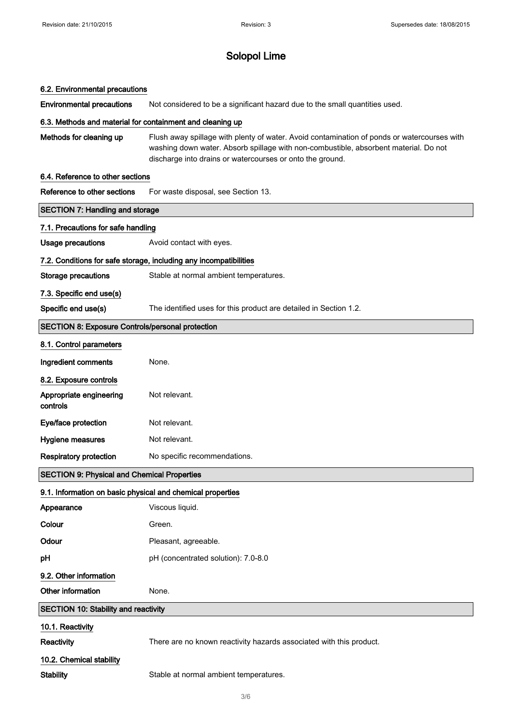#### 6.2. Environmental precautions

Environmental precautions Not considered to be a significant hazard due to the small quantities used.

#### 6.3. Methods and material for containment and cleaning up

Methods for cleaning up Flush away spillage with plenty of water. Avoid contamination of ponds or watercourses with washing down water. Absorb spillage with non-combustible, absorbent material. Do not discharge into drains or watercourses or onto the ground.

#### 6.4. Reference to other sections

| Reference to other sections                                       | For waste disposal, see Section 13.                                 |  |  |
|-------------------------------------------------------------------|---------------------------------------------------------------------|--|--|
| <b>SECTION 7: Handling and storage</b>                            |                                                                     |  |  |
| 7.1. Precautions for safe handling                                |                                                                     |  |  |
| <b>Usage precautions</b>                                          | Avoid contact with eyes.                                            |  |  |
| 7.2. Conditions for safe storage, including any incompatibilities |                                                                     |  |  |
| <b>Storage precautions</b>                                        | Stable at normal ambient temperatures.                              |  |  |
| 7.3. Specific end use(s)                                          |                                                                     |  |  |
| Specific end use(s)                                               | The identified uses for this product are detailed in Section 1.2.   |  |  |
| <b>SECTION 8: Exposure Controls/personal protection</b>           |                                                                     |  |  |
| 8.1. Control parameters                                           |                                                                     |  |  |
| Ingredient comments                                               | None.                                                               |  |  |
| 8.2. Exposure controls                                            |                                                                     |  |  |
| Appropriate engineering<br>controls                               | Not relevant.                                                       |  |  |
| Eye/face protection                                               | Not relevant.                                                       |  |  |
| Hygiene measures                                                  | Not relevant.                                                       |  |  |
| <b>Respiratory protection</b>                                     | No specific recommendations.                                        |  |  |
| <b>SECTION 9: Physical and Chemical Properties</b>                |                                                                     |  |  |
| 9.1. Information on basic physical and chemical properties        |                                                                     |  |  |
| Appearance                                                        | Viscous liquid.                                                     |  |  |
| Colour                                                            | Green.                                                              |  |  |
| Odour                                                             | Pleasant, agreeable.                                                |  |  |
| pH                                                                | pH (concentrated solution): 7.0-8.0                                 |  |  |
| 9.2. Other information                                            |                                                                     |  |  |
| Other information                                                 | None.                                                               |  |  |
| <b>SECTION 10: Stability and reactivity</b>                       |                                                                     |  |  |
| 10.1. Reactivity                                                  |                                                                     |  |  |
| Reactivity                                                        | There are no known reactivity hazards associated with this product. |  |  |
| 10.2. Chemical stability                                          |                                                                     |  |  |
| <b>Stability</b>                                                  | Stable at normal ambient temperatures.                              |  |  |
|                                                                   |                                                                     |  |  |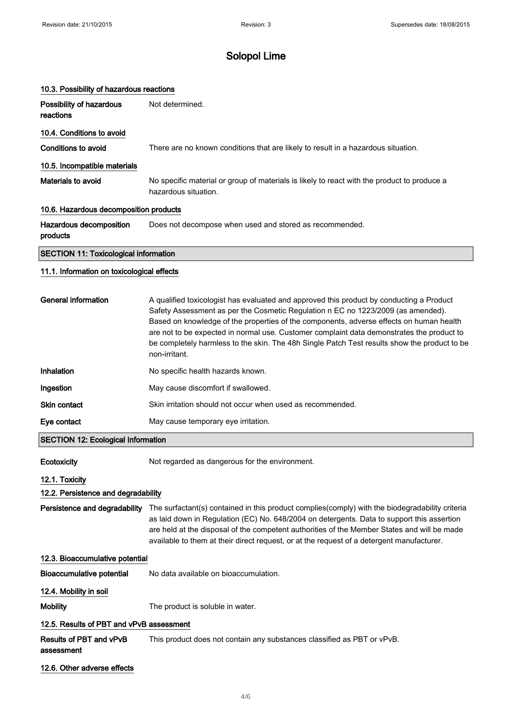| 10.3. Possibility of hazardous reactions     |                                                                                                                     |  |
|----------------------------------------------|---------------------------------------------------------------------------------------------------------------------|--|
| Possibility of hazardous<br>reactions        | Not determined.                                                                                                     |  |
| 10.4. Conditions to avoid                    |                                                                                                                     |  |
| Conditions to avoid                          | There are no known conditions that are likely to result in a hazardous situation.                                   |  |
| 10.5. Incompatible materials                 |                                                                                                                     |  |
| Materials to avoid                           | No specific material or group of materials is likely to react with the product to produce a<br>hazardous situation. |  |
| 10.6. Hazardous decomposition products       |                                                                                                                     |  |
| Hazardous decomposition<br>products          | Does not decompose when used and stored as recommended.                                                             |  |
| <b>SECTION 11: Toxicological information</b> |                                                                                                                     |  |

#### 11.1. Information on toxicological effects

| General information | A qualified toxicologist has evaluated and approved this product by conducting a Product<br>Safety Assessment as per the Cosmetic Regulation n EC no 1223/2009 (as amended).<br>Based on knowledge of the properties of the components, adverse effects on human health<br>are not to be expected in normal use. Customer complaint data demonstrates the product to<br>be completely harmless to the skin. The 48h Single Patch Test results show the product to be<br>non-irritant. |
|---------------------|---------------------------------------------------------------------------------------------------------------------------------------------------------------------------------------------------------------------------------------------------------------------------------------------------------------------------------------------------------------------------------------------------------------------------------------------------------------------------------------|
| Inhalation          | No specific health hazards known.                                                                                                                                                                                                                                                                                                                                                                                                                                                     |
| Ingestion           | May cause discomfort if swallowed.                                                                                                                                                                                                                                                                                                                                                                                                                                                    |
| <b>Skin contact</b> | Skin irritation should not occur when used as recommended.                                                                                                                                                                                                                                                                                                                                                                                                                            |
| Eye contact         | May cause temporary eye irritation.                                                                                                                                                                                                                                                                                                                                                                                                                                                   |

#### SECTION 12: Ecological Information

Ecotoxicity Mot regarded as dangerous for the environment.

### 12.1. Toxicity

#### 12.2. Persistence and degradability

Persistence and degradability The surfactant(s) contained in this product complies(comply) with the biodegradability criteria as laid down in Regulation (EC) No. 648/2004 on detergents. Data to support this assertion are held at the disposal of the competent authorities of the Member States and will be made available to them at their direct request, or at the request of a detergent manufacturer.

#### 12.3. Bioaccumulative potential

Bioaccumulative potential No data available on bioaccumulation.

12.4. Mobility in soil

Mobility Mobility The product is soluble in water.

#### 12.5. Results of PBT and vPvB assessment

Results of PBT and vPvB This product does not contain any substances classified as PBT or vPvB.

assessment

#### 12.6. Other adverse effects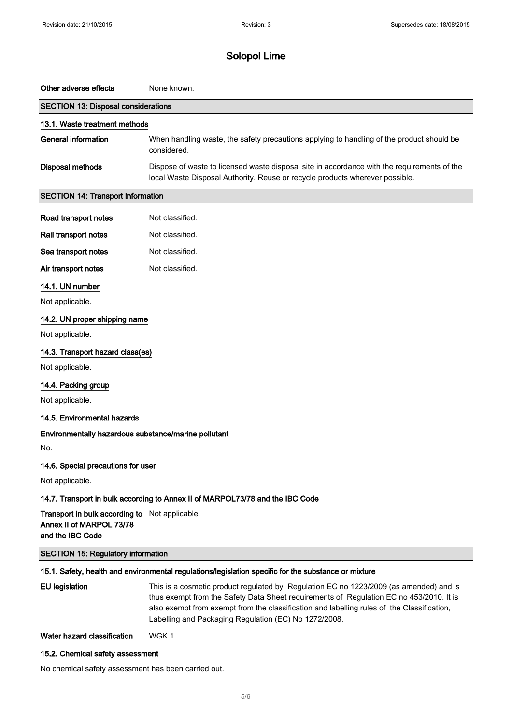| Other adverse effects                                                                          | None known.                                                                                                                                                                                                                                                                                                                              |  |  |
|------------------------------------------------------------------------------------------------|------------------------------------------------------------------------------------------------------------------------------------------------------------------------------------------------------------------------------------------------------------------------------------------------------------------------------------------|--|--|
| <b>SECTION 13: Disposal considerations</b>                                                     |                                                                                                                                                                                                                                                                                                                                          |  |  |
| 13.1. Waste treatment methods                                                                  |                                                                                                                                                                                                                                                                                                                                          |  |  |
| <b>General information</b>                                                                     | When handling waste, the safety precautions applying to handling of the product should be<br>considered.                                                                                                                                                                                                                                 |  |  |
| <b>Disposal methods</b>                                                                        | Dispose of waste to licensed waste disposal site in accordance with the requirements of the<br>local Waste Disposal Authority. Reuse or recycle products wherever possible.                                                                                                                                                              |  |  |
| <b>SECTION 14: Transport information</b>                                                       |                                                                                                                                                                                                                                                                                                                                          |  |  |
| Road transport notes                                                                           | Not classified.                                                                                                                                                                                                                                                                                                                          |  |  |
| Rail transport notes                                                                           | Not classified.                                                                                                                                                                                                                                                                                                                          |  |  |
| Sea transport notes                                                                            | Not classified.                                                                                                                                                                                                                                                                                                                          |  |  |
| Air transport notes                                                                            | Not classified.                                                                                                                                                                                                                                                                                                                          |  |  |
| 14.1. UN number                                                                                |                                                                                                                                                                                                                                                                                                                                          |  |  |
| Not applicable.                                                                                |                                                                                                                                                                                                                                                                                                                                          |  |  |
| 14.2. UN proper shipping name                                                                  |                                                                                                                                                                                                                                                                                                                                          |  |  |
| Not applicable.                                                                                |                                                                                                                                                                                                                                                                                                                                          |  |  |
| 14.3. Transport hazard class(es)                                                               |                                                                                                                                                                                                                                                                                                                                          |  |  |
| Not applicable.                                                                                |                                                                                                                                                                                                                                                                                                                                          |  |  |
| 14.4. Packing group                                                                            |                                                                                                                                                                                                                                                                                                                                          |  |  |
| Not applicable.                                                                                |                                                                                                                                                                                                                                                                                                                                          |  |  |
| 14.5. Environmental hazards                                                                    |                                                                                                                                                                                                                                                                                                                                          |  |  |
| Environmentally hazardous substance/marine pollutant                                           |                                                                                                                                                                                                                                                                                                                                          |  |  |
| No.                                                                                            |                                                                                                                                                                                                                                                                                                                                          |  |  |
| 14.6. Special precautions for user                                                             |                                                                                                                                                                                                                                                                                                                                          |  |  |
| Not applicable.                                                                                |                                                                                                                                                                                                                                                                                                                                          |  |  |
|                                                                                                | 14.7. Transport in bulk according to Annex II of MARPOL73/78 and the IBC Code                                                                                                                                                                                                                                                            |  |  |
| Transport in bulk according to Not applicable.<br>Annex II of MARPOL 73/78<br>and the IBC Code |                                                                                                                                                                                                                                                                                                                                          |  |  |
| <b>SECTION 15: Regulatory information</b>                                                      |                                                                                                                                                                                                                                                                                                                                          |  |  |
|                                                                                                | 15.1. Safety, health and environmental regulations/legislation specific for the substance or mixture                                                                                                                                                                                                                                     |  |  |
| <b>EU</b> legislation                                                                          | This is a cosmetic product regulated by Regulation EC no 1223/2009 (as amended) and is<br>thus exempt from the Safety Data Sheet requirements of Regulation EC no 453/2010. It is<br>also exempt from exempt from the classification and labelling rules of the Classification,<br>Labelling and Packaging Regulation (EC) No 1272/2008. |  |  |
| Water hazard classification                                                                    | WGK1                                                                                                                                                                                                                                                                                                                                     |  |  |
| 15.2. Chemical safety assessment                                                               |                                                                                                                                                                                                                                                                                                                                          |  |  |

No chemical safety assessment has been carried out.